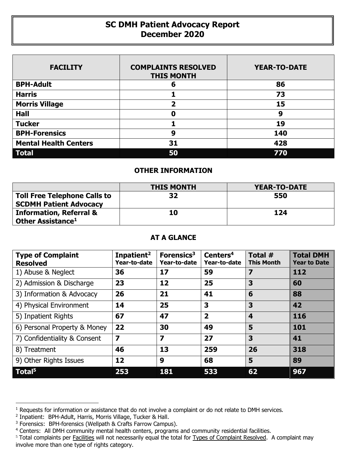## **SC DMH Patient Advocacy Report December 2020**

| <b>FACILITY</b>              | <b>COMPLAINTS RESOLVED</b><br><b>THIS MONTH</b> | <b>YEAR-TO-DATE</b> |
|------------------------------|-------------------------------------------------|---------------------|
| <b>BPH-Adult</b>             | 6                                               | 86                  |
| <b>Harris</b>                |                                                 | 73                  |
| <b>Morris Village</b>        | $\overline{\mathbf{2}}$                         | 15                  |
| <b>Hall</b>                  | 0                                               | 9                   |
| <b>Tucker</b>                |                                                 | 19                  |
| <b>BPH-Forensics</b>         | 9                                               | 140                 |
| <b>Mental Health Centers</b> | 31                                              | 428                 |
| <b>Total</b>                 | 50                                              | 770                 |

## **OTHER INFORMATION**

|                                                                      | <b>THIS MONTH</b> | <b>YEAR-TO-DATE</b> |
|----------------------------------------------------------------------|-------------------|---------------------|
| <b>Toll Free Telephone Calls to</b><br><b>SCDMH Patient Advocacy</b> | 32                | 550                 |
| <b>Information, Referral &amp;</b><br>Other Assistance <sup>1</sup>  | 10                | 124                 |

## **AT A GLANCE**

| <b>Type of Complaint</b><br><b>Resolved</b> | Inpatient <sup>2</sup><br>Year-to-date | Forensics <sup>3</sup><br>Year-to-date | Centers <sup>4</sup><br>Year-to-date | Total $#$<br><b>This Month</b> | <b>Total DMH</b><br><b>Year to Date</b> |
|---------------------------------------------|----------------------------------------|----------------------------------------|--------------------------------------|--------------------------------|-----------------------------------------|
| 1) Abuse & Neglect                          | 36                                     | 17                                     | 59                                   | 7                              | 112                                     |
| 2) Admission & Discharge                    | 23                                     | 12                                     | 25                                   | 3                              | 60                                      |
| 3) Information & Advocacy                   | 26                                     | 21                                     | 41                                   | 6                              | 88                                      |
| 4) Physical Environment                     | 14                                     | 25                                     | 3                                    | 3                              | 42                                      |
| 5) Inpatient Rights                         | 67                                     | 47                                     | $\overline{\mathbf{2}}$              | $\overline{\mathbf{4}}$        | 116                                     |
| 6) Personal Property & Money                | 22                                     | 30                                     | 49                                   | 5                              | 101                                     |
| 7) Confidentiality & Consent                | $\overline{\mathbf{z}}$                | $\overline{\mathbf{z}}$                | 27                                   | 3                              | 41                                      |
| 8) Treatment                                | 46                                     | 13                                     | 259                                  | 26                             | 318                                     |
| 9) Other Rights Issues                      | 12                                     | 9                                      | 68                                   | 5                              | 89                                      |
| Total <sup>5</sup>                          | 253                                    | 181                                    | 533                                  | 62                             | 967                                     |

1

<sup>&</sup>lt;sup>1</sup> Requests for information or assistance that do not involve a complaint or do not relate to DMH services.

<sup>&</sup>lt;sup>2</sup> Inpatient: BPH-Adult, Harris, Morris Village, Tucker & Hall.

<sup>&</sup>lt;sup>3</sup> Forensics: BPH-forensics (Wellpath & Crafts Farrow Campus).

<sup>4</sup> Centers: All DMH community mental health centers, programs and community residential facilities.

<sup>&</sup>lt;sup>5</sup> Total complaints per Facilities will not necessarily equal the total for Types of Complaint Resolved. A complaint may involve more than one type of rights category.